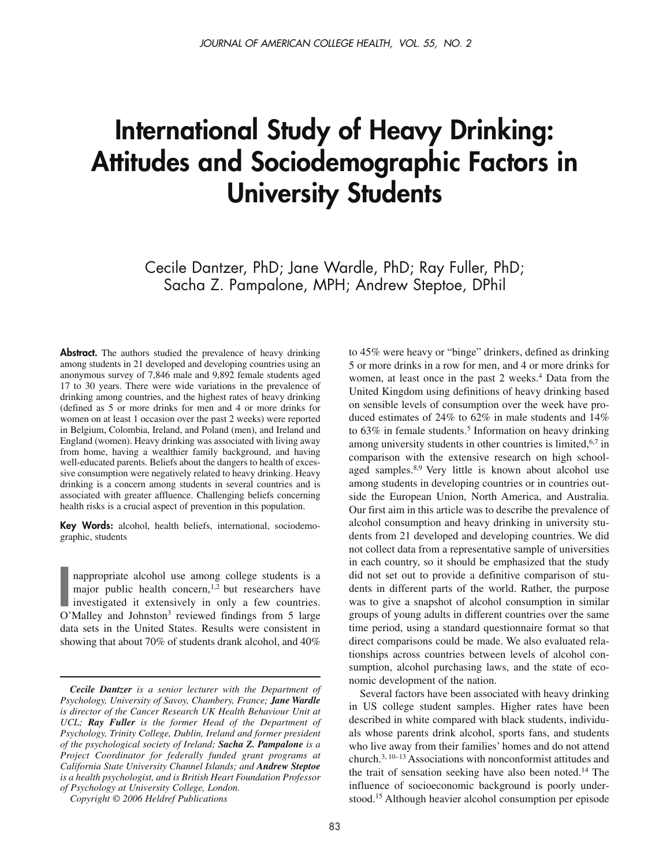# **International Study of Heavy Drinking: Attitudes and Sociodemographic Factors in University Students**

Cecile Dantzer, PhD; Jane Wardle, PhD; Ray Fuller, PhD; Sacha Z. Pampalone, MPH; Andrew Steptoe, DPhil

**Abstract.** The authors studied the prevalence of heavy drinking among students in 21 developed and developing countries using an anonymous survey of 7,846 male and 9,892 female students aged 17 to 30 years. There were wide variations in the prevalence of drinking among countries, and the highest rates of heavy drinking (defined as 5 or more drinks for men and 4 or more drinks for women on at least 1 occasion over the past 2 weeks) were reported in Belgium, Colombia, Ireland, and Poland (men), and Ireland and England (women). Heavy drinking was associated with living away from home, having a wealthier family background, and having well-educated parents. Beliefs about the dangers to health of excessive consumption were negatively related to heavy drinking. Heavy drinking is a concern among students in several countries and is associated with greater affluence. Challenging beliefs concerning health risks is a crucial aspect of prevention in this population.

**Key Words:** alcohol, health beliefs, international, sociodemographic, students

nappropriate alcohol use among college students is a major public health concern, $1,2$  but researchers have investigated it extensively in only a few countries. nappropriate alcohol use among college students is a major public health concern,<sup>1,2</sup> but researchers have investigated it extensively in only a few countries.<br>O'Malley and Johnston<sup>3</sup> reviewed findings from 5 large data sets in the United States. Results were consistent in showing that about 70% of students drank alcohol, and 40%

*Copyright © 2006 Heldref Publications*

to 45% were heavy or "binge" drinkers, defined as drinking 5 or more drinks in a row for men, and 4 or more drinks for women, at least once in the past 2 weeks.<sup>4</sup> Data from the United Kingdom using definitions of heavy drinking based on sensible levels of consumption over the week have produced estimates of 24% to 62% in male students and 14% to  $63\%$  in female students.<sup>5</sup> Information on heavy drinking among university students in other countries is limited, $6,7$  in comparison with the extensive research on high schoolaged samples.8,9 Very little is known about alcohol use among students in developing countries or in countries outside the European Union, North America, and Australia. Our first aim in this article was to describe the prevalence of alcohol consumption and heavy drinking in university students from 21 developed and developing countries. We did not collect data from a representative sample of universities in each country, so it should be emphasized that the study did not set out to provide a definitive comparison of students in different parts of the world. Rather, the purpose was to give a snapshot of alcohol consumption in similar groups of young adults in different countries over the same time period, using a standard questionnaire format so that direct comparisons could be made. We also evaluated relationships across countries between levels of alcohol consumption, alcohol purchasing laws, and the state of economic development of the nation.

Several factors have been associated with heavy drinking in US college student samples. Higher rates have been described in white compared with black students, individuals whose parents drink alcohol, sports fans, and students who live away from their families' homes and do not attend church.3, 10–13 Associations with nonconformist attitudes and the trait of sensation seeking have also been noted.14 The influence of socioeconomic background is poorly understood.15 Although heavier alcohol consumption per episode

*Cecile Dantzer is a senior lecturer with the Department of Psychology, University of Savoy, Chambery, France; Jane Wardle is director of the Cancer Research UK Health Behaviour Unit at UCL; Ray Fuller is the former Head of the Department of Psychology, Trinity College, Dublin, Ireland and former president of the psychological society of Ireland; Sacha Z. Pampalone is a Project Coordinator for federally funded grant programs at California State University Channel Islands; and Andrew Steptoe is a health psychologist, and is British Heart Foundation Professor of Psychology at University College, London.*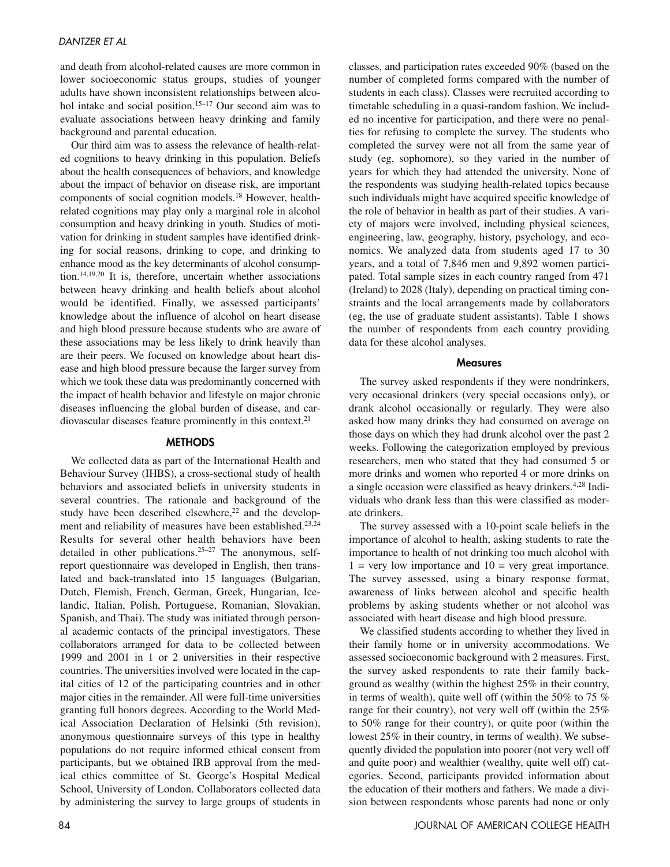and death from alcohol-related causes are more common in lower socioeconomic status groups, studies of younger adults have shown inconsistent relationships between alcohol intake and social position.<sup>15–17</sup> Our second aim was to evaluate associations between heavy drinking and family background and parental education.

Our third aim was to assess the relevance of health-related cognitions to heavy drinking in this population. Beliefs about the health consequences of behaviors, and knowledge about the impact of behavior on disease risk, are important components of social cognition models.18 However, healthrelated cognitions may play only a marginal role in alcohol consumption and heavy drinking in youth. Studies of motivation for drinking in student samples have identified drinking for social reasons, drinking to cope, and drinking to enhance mood as the key determinants of alcohol consumption.14,19,20 It is, therefore, uncertain whether associations between heavy drinking and health beliefs about alcohol would be identified. Finally, we assessed participants' knowledge about the influence of alcohol on heart disease and high blood pressure because students who are aware of these associations may be less likely to drink heavily than are their peers. We focused on knowledge about heart disease and high blood pressure because the larger survey from which we took these data was predominantly concerned with the impact of health behavior and lifestyle on major chronic diseases influencing the global burden of disease, and cardiovascular diseases feature prominently in this context.21

#### **METHODS**

We collected data as part of the International Health and Behaviour Survey (IHBS), a cross-sectional study of health behaviors and associated beliefs in university students in several countries. The rationale and background of the study have been described elsewhere, $22$  and the development and reliability of measures have been established.<sup>23,24</sup> Results for several other health behaviors have been detailed in other publications.<sup>25-27</sup> The anonymous, selfreport questionnaire was developed in English, then translated and back-translated into 15 languages (Bulgarian, Dutch, Flemish, French, German, Greek, Hungarian, Icelandic, Italian, Polish, Portuguese, Romanian, Slovakian, Spanish, and Thai). The study was initiated through personal academic contacts of the principal investigators. These collaborators arranged for data to be collected between 1999 and 2001 in 1 or 2 universities in their respective countries. The universities involved were located in the capital cities of 12 of the participating countries and in other major cities in the remainder. All were full-time universities granting full honors degrees. According to the World Medical Association Declaration of Helsinki (5th revision), anonymous questionnaire surveys of this type in healthy populations do not require informed ethical consent from participants, but we obtained IRB approval from the medical ethics committee of St. George's Hospital Medical School, University of London. Collaborators collected data by administering the survey to large groups of students in classes, and participation rates exceeded 90% (based on the number of completed forms compared with the number of students in each class). Classes were recruited according to timetable scheduling in a quasi-random fashion. We included no incentive for participation, and there were no penalties for refusing to complete the survey. The students who completed the survey were not all from the same year of study (eg, sophomore), so they varied in the number of years for which they had attended the university. None of the respondents was studying health-related topics because such individuals might have acquired specific knowledge of the role of behavior in health as part of their studies. A variety of majors were involved, including physical sciences, engineering, law, geography, history, psychology, and economics. We analyzed data from students aged 17 to 30 years, and a total of 7,846 men and 9,892 women participated. Total sample sizes in each country ranged from 471 (Ireland) to 2028 (Italy), depending on practical timing constraints and the local arrangements made by collaborators (eg, the use of graduate student assistants). Table 1 shows the number of respondents from each country providing data for these alcohol analyses.

#### **Measures**

The survey asked respondents if they were nondrinkers, very occasional drinkers (very special occasions only), or drank alcohol occasionally or regularly. They were also asked how many drinks they had consumed on average on those days on which they had drunk alcohol over the past 2 weeks. Following the categorization employed by previous researchers, men who stated that they had consumed 5 or more drinks and women who reported 4 or more drinks on a single occasion were classified as heavy drinkers.4,28 Individuals who drank less than this were classified as moderate drinkers.

The survey assessed with a 10-point scale beliefs in the importance of alcohol to health, asking students to rate the importance to health of not drinking too much alcohol with  $1 = \text{very low importance and } 10 = \text{very great importance.}$ The survey assessed, using a binary response format, awareness of links between alcohol and specific health problems by asking students whether or not alcohol was associated with heart disease and high blood pressure.

We classified students according to whether they lived in their family home or in university accommodations. We assessed socioeconomic background with 2 measures. First, the survey asked respondents to rate their family background as wealthy (within the highest 25% in their country, in terms of wealth), quite well off (within the 50% to 75 % range for their country), not very well off (within the 25% to 50% range for their country), or quite poor (within the lowest 25% in their country, in terms of wealth). We subsequently divided the population into poorer (not very well off and quite poor) and wealthier (wealthy, quite well off) categories. Second, participants provided information about the education of their mothers and fathers. We made a division between respondents whose parents had none or only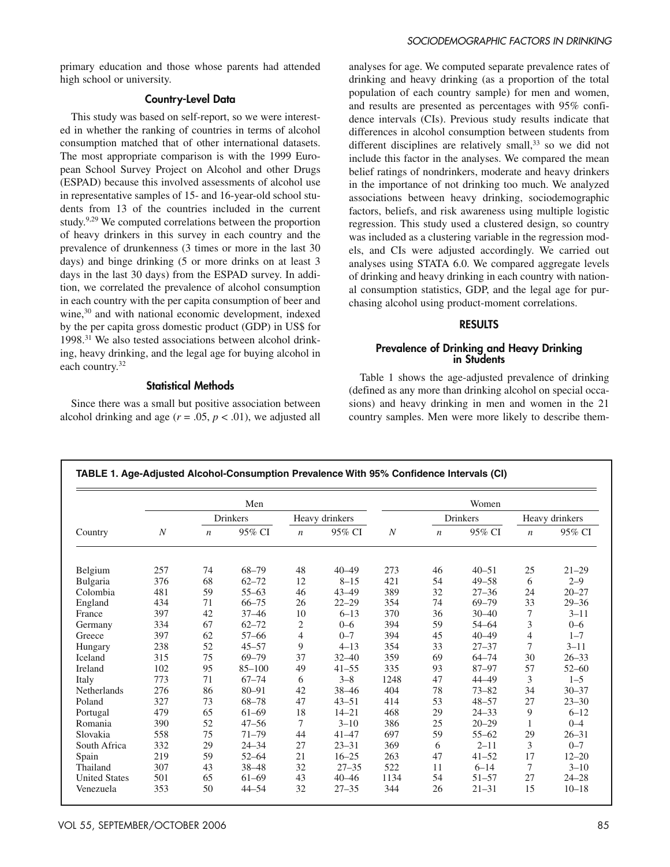primary education and those whose parents had attended high school or university.

# **Country-Level Data**

This study was based on self-report, so we were interested in whether the ranking of countries in terms of alcohol consumption matched that of other international datasets. The most appropriate comparison is with the 1999 European School Survey Project on Alcohol and other Drugs (ESPAD) because this involved assessments of alcohol use in representative samples of 15- and 16-year-old school students from 13 of the countries included in the current study.9,29 We computed correlations between the proportion of heavy drinkers in this survey in each country and the prevalence of drunkenness (3 times or more in the last 30 days) and binge drinking (5 or more drinks on at least 3 days in the last 30 days) from the ESPAD survey. In addition, we correlated the prevalence of alcohol consumption in each country with the per capita consumption of beer and wine,<sup>30</sup> and with national economic development, indexed by the per capita gross domestic product (GDP) in US\$ for 1998.31 We also tested associations between alcohol drinking, heavy drinking, and the legal age for buying alcohol in each country.32

## **Statistical Methods**

Since there was a small but positive association between alcohol drinking and age  $(r = .05, p < .01)$ , we adjusted all

analyses for age. We computed separate prevalence rates of drinking and heavy drinking (as a proportion of the total population of each country sample) for men and women, and results are presented as percentages with 95% confidence intervals (CIs). Previous study results indicate that differences in alcohol consumption between students from different disciplines are relatively small, $33$  so we did not include this factor in the analyses. We compared the mean belief ratings of nondrinkers, moderate and heavy drinkers in the importance of not drinking too much. We analyzed associations between heavy drinking, sociodemographic factors, beliefs, and risk awareness using multiple logistic regression. This study used a clustered design, so country was included as a clustering variable in the regression models, and CIs were adjusted accordingly. We carried out analyses using STATA 6.0. We compared aggregate levels of drinking and heavy drinking in each country with national consumption statistics, GDP, and the legal age for purchasing alcohol using product-moment correlations.

# **RESULTS**

# **Prevalence of Drinking and Heavy Drinking in Students**

Table 1 shows the age-adjusted prevalence of drinking (defined as any more than drinking alcohol on special occasions) and heavy drinking in men and women in the 21 country samples. Men were more likely to describe them-

|                      | Men              |                  |            |                  |           | Women            |                  |           |                  |           |
|----------------------|------------------|------------------|------------|------------------|-----------|------------------|------------------|-----------|------------------|-----------|
|                      |                  | <b>Drinkers</b>  |            | Heavy drinkers   |           |                  | <b>Drinkers</b>  |           | Heavy drinkers   |           |
| Country              | $\boldsymbol{N}$ | $\boldsymbol{n}$ | 95% CI     | $\boldsymbol{n}$ | 95% CI    | $\boldsymbol{N}$ | $\boldsymbol{n}$ | 95% CI    | $\boldsymbol{n}$ | 95% CI    |
| Belgium              | 257              | 74               | $68 - 79$  | 48               | $40 - 49$ | 273              | 46               | $40 - 51$ | 25               | $21 - 29$ |
| Bulgaria             | 376              | 68               | $62 - 72$  | 12               | $8 - 15$  | 421              | 54               | $49 - 58$ | 6                | $2 - 9$   |
| Colombia             | 481              | 59               | $55 - 63$  | 46               | $43 - 49$ | 389              | 32               | $27 - 36$ | 24               | $20 - 27$ |
| England              | 434              | 71               | $66 - 75$  | 26               | $22 - 29$ | 354              | 74               | $69 - 79$ | 33               | $29 - 36$ |
| France               | 397              | 42               | $37 - 46$  | 10               | $6 - 13$  | 370              | 36               | $30 - 40$ | 7                | $3 - 11$  |
| Germany              | 334              | 67               | $62 - 72$  | 2                | $0 - 6$   | 394              | 59               | $54 - 64$ | 3                | $0 - 6$   |
| Greece               | 397              | 62               | $57 - 66$  | $\overline{4}$   | $0 - 7$   | 394              | 45               | $40 - 49$ | 4                | $1 - 7$   |
| Hungary              | 238              | 52               | $45 - 57$  | 9                | $4 - 13$  | 354              | 33               | $27 - 37$ | 7                | $3 - 11$  |
| Iceland              | 315              | 75               | $69 - 79$  | 37               | $32 - 40$ | 359              | 69               | $64 - 74$ | 30               | $26 - 33$ |
| Ireland              | 102              | 95               | $85 - 100$ | 49               | $41 - 55$ | 335              | 93               | $87 - 97$ | 57               | $52 - 60$ |
| Italy                | 773              | 71               | $67 - 74$  | 6                | $3 - 8$   | 1248             | 47               | 44-49     | 3                | $1 - 5$   |
| <b>Netherlands</b>   | 276              | 86               | $80 - 91$  | 42               | 38-46     | 404              | 78               | $73 - 82$ | 34               | $30 - 37$ |
| Poland               | 327              | 73               | $68 - 78$  | 47               | $43 - 51$ | 414              | 53               | $48 - 57$ | 27               | $23 - 30$ |
| Portugal             | 479              | 65               | $61 - 69$  | 18               | $14 - 21$ | 468              | 29               | $24 - 33$ | 9                | $6 - 12$  |
| Romania              | 390              | 52               | $47 - 56$  | 7                | $3 - 10$  | 386              | 25               | $20 - 29$ |                  | $0 - 4$   |
| Slovakia             | 558              | 75               | $71 - 79$  | 44               | $41 - 47$ | 697              | 59               | $55 - 62$ | 29               | $26 - 31$ |
| South Africa         | 332              | 29               | $24 - 34$  | 27               | $23 - 31$ | 369              | 6                | $2 - 11$  | 3                | $0 - 7$   |
| Spain                | 219              | 59               | $52 - 64$  | 21               | $16 - 25$ | 263              | 47               | $41 - 52$ | 17               | $12 - 20$ |
| Thailand             | 307              | 43               | 38-48      | 32               | $27 - 35$ | 522              | 11               | $6 - 14$  | $\overline{7}$   | $3 - 10$  |
| <b>United States</b> | 501              | 65               | $61 - 69$  | 43               | $40 - 46$ | 1134             | 54               | $51 - 57$ | 27               | $24 - 28$ |
| Venezuela            | 353              | 50               | $44 - 54$  | 32               | $27 - 35$ | 344              | 26               | $21 - 31$ | 15               | $10 - 18$ |

#### **TABLE 1. Age-Adjusted Alcohol-Consumption Prevalence With 95% Confidence Intervals (CI)**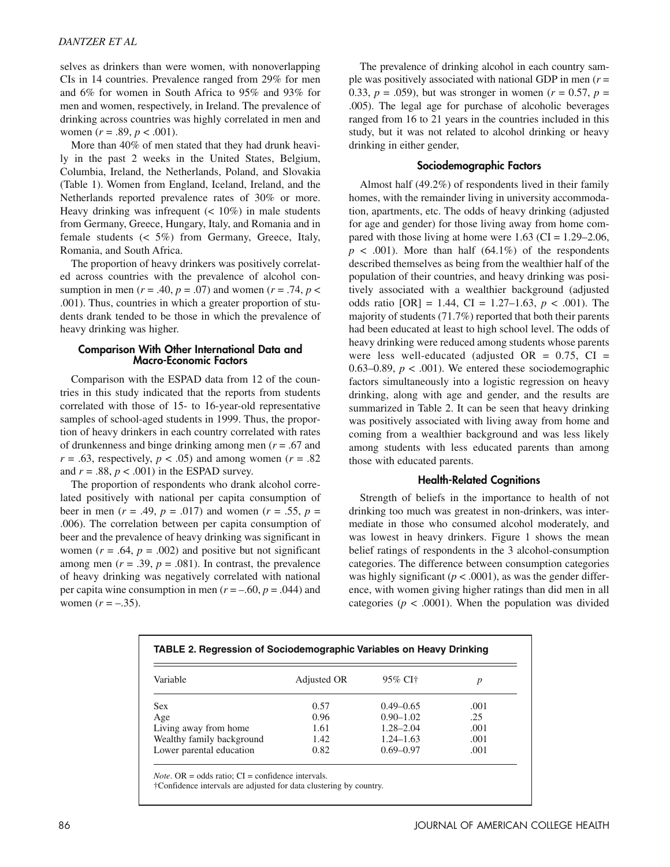selves as drinkers than were women, with nonoverlapping CIs in 14 countries. Prevalence ranged from 29% for men and 6% for women in South Africa to 95% and 93% for men and women, respectively, in Ireland. The prevalence of drinking across countries was highly correlated in men and women (*r* = .89, *p* < .001).

More than 40% of men stated that they had drunk heavily in the past 2 weeks in the United States, Belgium, Columbia, Ireland, the Netherlands, Poland, and Slovakia (Table 1). Women from England, Iceland, Ireland, and the Netherlands reported prevalence rates of 30% or more. Heavy drinking was infrequent  $(< 10\%)$  in male students from Germany, Greece, Hungary, Italy, and Romania and in female students (< 5%) from Germany, Greece, Italy, Romania, and South Africa.

The proportion of heavy drinkers was positively correlated across countries with the prevalence of alcohol consumption in men ( $r = .40$ ,  $p = .07$ ) and women ( $r = .74$ ,  $p <$ .001). Thus, countries in which a greater proportion of students drank tended to be those in which the prevalence of heavy drinking was higher.

## **Comparison With Other International Data and Macro-Economic Factors**

Comparison with the ESPAD data from 12 of the countries in this study indicated that the reports from students correlated with those of 15- to 16-year-old representative samples of school-aged students in 1999. Thus, the proportion of heavy drinkers in each country correlated with rates of drunkenness and binge drinking among men (*r* = .67 and  $r = .63$ , respectively,  $p < .05$ ) and among women ( $r = .82$ ) and  $r = .88$ ,  $p < .001$ ) in the ESPAD survey.

The proportion of respondents who drank alcohol correlated positively with national per capita consumption of beer in men ( $r = .49$ ,  $p = .017$ ) and women ( $r = .55$ ,  $p =$ .006). The correlation between per capita consumption of beer and the prevalence of heavy drinking was significant in women  $(r = .64, p = .002)$  and positive but not significant among men  $(r = .39, p = .081)$ . In contrast, the prevalence of heavy drinking was negatively correlated with national per capita wine consumption in men  $(r = -.60, p = .044)$  and women  $(r = -.35)$ .

The prevalence of drinking alcohol in each country sample was positively associated with national GDP in men (*r* = 0.33,  $p = .059$ ), but was stronger in women ( $r = 0.57$ ,  $p =$ .005). The legal age for purchase of alcoholic beverages ranged from 16 to 21 years in the countries included in this study, but it was not related to alcohol drinking or heavy drinking in either gender,

# **Sociodemographic Factors**

Almost half (49.2%) of respondents lived in their family homes, with the remainder living in university accommodation, apartments, etc. The odds of heavy drinking (adjusted for age and gender) for those living away from home compared with those living at home were  $1.63$  (CI =  $1.29-2.06$ ,  $p \leq .001$ ). More than half (64.1%) of the respondents described themselves as being from the wealthier half of the population of their countries, and heavy drinking was positively associated with a wealthier background (adjusted odds ratio  $[OR] = 1.44$ ,  $CI = 1.27-1.63$ ,  $p < .001$ ). The majority of students (71.7%) reported that both their parents had been educated at least to high school level. The odds of heavy drinking were reduced among students whose parents were less well-educated (adjusted OR =  $0.75$ , CI = 0.63–0.89,  $p < .001$ ). We entered these sociodemographic factors simultaneously into a logistic regression on heavy drinking, along with age and gender, and the results are summarized in Table 2. It can be seen that heavy drinking was positively associated with living away from home and coming from a wealthier background and was less likely among students with less educated parents than among those with educated parents.

#### **Health-Related Cognitions**

Strength of beliefs in the importance to health of not drinking too much was greatest in non-drinkers, was intermediate in those who consumed alcohol moderately, and was lowest in heavy drinkers. Figure 1 shows the mean belief ratings of respondents in the 3 alcohol-consumption categories. The difference between consumption categories was highly significant ( $p < .0001$ ), as was the gender difference, with women giving higher ratings than did men in all categories ( $p < .0001$ ). When the population was divided

| Variable                  | Adjusted OR | 95% CI <sup>+</sup> | p    |
|---------------------------|-------------|---------------------|------|
| <b>Sex</b>                | 0.57        | $0.49 - 0.65$       | .001 |
| Age                       | 0.96        | $0.90 - 1.02$       | .25  |
| Living away from home     | 1.61        | $1.28 - 2.04$       | .001 |
| Wealthy family background | 1.42        | $1.24 - 1.63$       | .001 |
| Lower parental education  | 0.82        | $0.69 - 0.97$       | .001 |

*Note*. OR = odds ratio; CI = confidence intervals.

†Confidence intervals are adjusted for data clustering by country.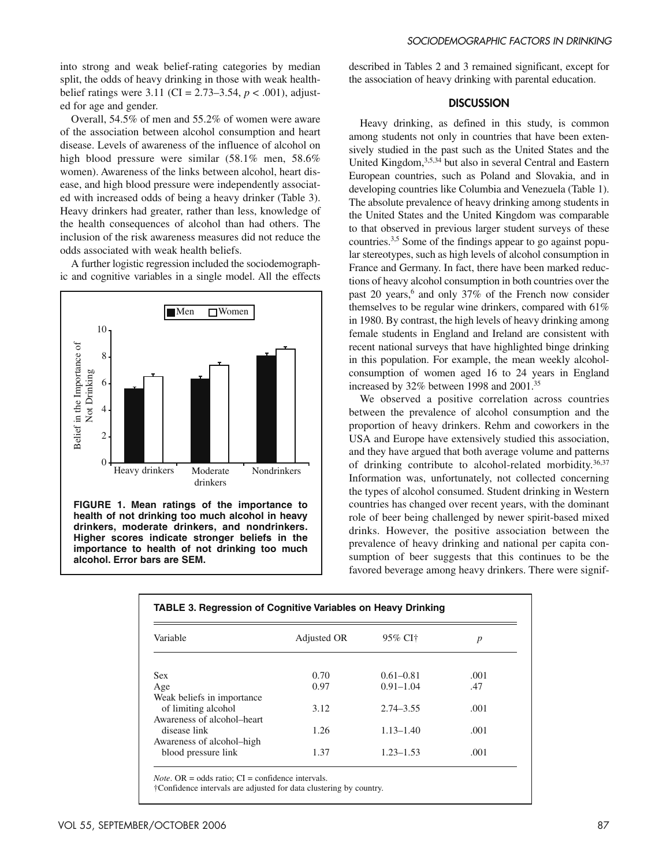into strong and weak belief-rating categories by median split, the odds of heavy drinking in those with weak healthbelief ratings were 3.11 (CI = 2.73–3.54, *p* < .001), adjusted for age and gender.

Overall, 54.5% of men and 55.2% of women were aware of the association between alcohol consumption and heart disease. Levels of awareness of the influence of alcohol on high blood pressure were similar (58.1% men, 58.6% women). Awareness of the links between alcohol, heart disease, and high blood pressure were independently associated with increased odds of being a heavy drinker (Table 3). Heavy drinkers had greater, rather than less, knowledge of the health consequences of alcohol than had others. The inclusion of the risk awareness measures did not reduce the odds associated with weak health beliefs.

A further logistic regression included the sociodemographic and cognitive variables in a single model. All the effects



**FIGURE 1. Mean ratings of the importance to health of not drinking too much alcohol in heavy drinkers, moderate drinkers, and nondrinkers. Higher scores indicate stronger beliefs in the importance to health of not drinking too much alcohol. Error bars are SEM.**

described in Tables 2 and 3 remained significant, except for the association of heavy drinking with parental education.

#### **DISCUSSION**

Heavy drinking, as defined in this study, is common among students not only in countries that have been extensively studied in the past such as the United States and the United Kingdom,3,5,34 but also in several Central and Eastern European countries, such as Poland and Slovakia, and in developing countries like Columbia and Venezuela (Table 1). The absolute prevalence of heavy drinking among students in the United States and the United Kingdom was comparable to that observed in previous larger student surveys of these countries.3,5 Some of the findings appear to go against popular stereotypes, such as high levels of alcohol consumption in France and Germany. In fact, there have been marked reductions of heavy alcohol consumption in both countries over the past 20 years,<sup>6</sup> and only 37% of the French now consider themselves to be regular wine drinkers, compared with 61% in 1980. By contrast, the high levels of heavy drinking among female students in England and Ireland are consistent with recent national surveys that have highlighted binge drinking in this population. For example, the mean weekly alcoholconsumption of women aged 16 to 24 years in England increased by 32% between 1998 and 2001.35

We observed a positive correlation across countries between the prevalence of alcohol consumption and the proportion of heavy drinkers. Rehm and coworkers in the USA and Europe have extensively studied this association, and they have argued that both average volume and patterns of drinking contribute to alcohol-related morbidity.36,37 Information was, unfortunately, not collected concerning the types of alcohol consumed. Student drinking in Western countries has changed over recent years, with the dominant role of beer being challenged by newer spirit-based mixed drinks. However, the positive association between the prevalence of heavy drinking and national per capita consumption of beer suggests that this continues to be the favored beverage among heavy drinkers. There were signif-

| Variable                   | Adjusted OR | 95% CI†       | $\boldsymbol{p}$ |
|----------------------------|-------------|---------------|------------------|
| <b>Sex</b>                 | 0.70        | $0.61 - 0.81$ | .001             |
| Age                        | 0.97        | $0.91 - 1.04$ | .47              |
| Weak beliefs in importance |             |               |                  |
| of limiting alcohol        | 3.12        | $2.74 - 3.55$ | .001             |
| Awareness of alcohol-heart |             |               |                  |
| disease link               | 1.26        | $1.13 - 1.40$ | .001             |
| Awareness of alcohol–high  |             |               |                  |
| blood pressure link        | 1.37        | $1.23 - 1.53$ | .001             |

*Note*. OR = odds ratio; CI = confidence intervals.

†Confidence intervals are adjusted for data clustering by country.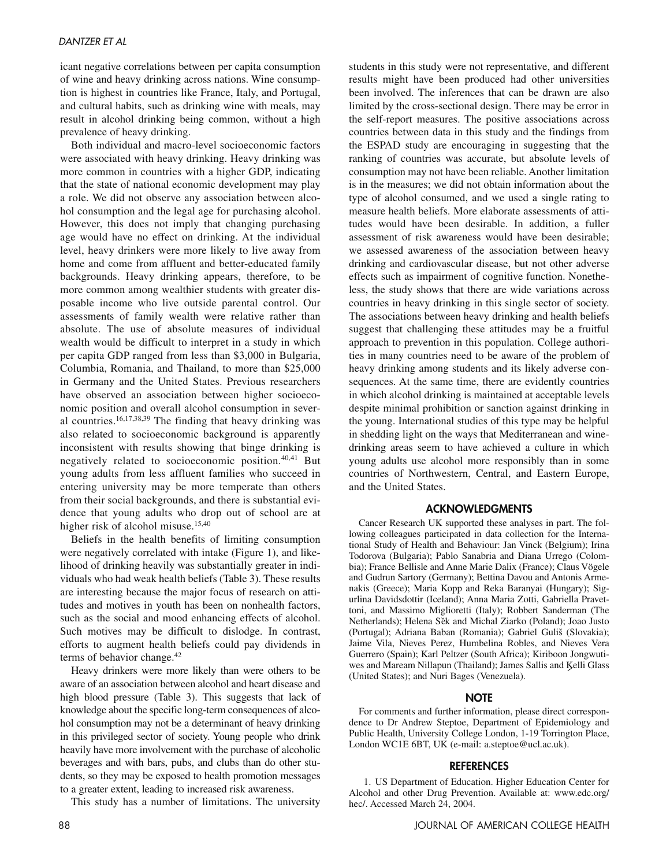icant negative correlations between per capita consumption of wine and heavy drinking across nations. Wine consumption is highest in countries like France, Italy, and Portugal, and cultural habits, such as drinking wine with meals, may result in alcohol drinking being common, without a high prevalence of heavy drinking.

Both individual and macro-level socioeconomic factors were associated with heavy drinking. Heavy drinking was more common in countries with a higher GDP, indicating that the state of national economic development may play a role. We did not observe any association between alcohol consumption and the legal age for purchasing alcohol. However, this does not imply that changing purchasing age would have no effect on drinking. At the individual level, heavy drinkers were more likely to live away from home and come from affluent and better-educated family backgrounds. Heavy drinking appears, therefore, to be more common among wealthier students with greater disposable income who live outside parental control. Our assessments of family wealth were relative rather than absolute. The use of absolute measures of individual wealth would be difficult to interpret in a study in which per capita GDP ranged from less than \$3,000 in Bulgaria, Columbia, Romania, and Thailand, to more than \$25,000 in Germany and the United States. Previous researchers have observed an association between higher socioeconomic position and overall alcohol consumption in several countries.16,17,38,39 The finding that heavy drinking was also related to socioeconomic background is apparently inconsistent with results showing that binge drinking is negatively related to socioeconomic position.40,41 But young adults from less affluent families who succeed in entering university may be more temperate than others from their social backgrounds, and there is substantial evidence that young adults who drop out of school are at higher risk of alcohol misuse. $15,40$ 

Beliefs in the health benefits of limiting consumption were negatively correlated with intake (Figure 1), and likelihood of drinking heavily was substantially greater in individuals who had weak health beliefs (Table 3). These results are interesting because the major focus of research on attitudes and motives in youth has been on nonhealth factors, such as the social and mood enhancing effects of alcohol. Such motives may be difficult to dislodge. In contrast, efforts to augment health beliefs could pay dividends in terms of behavior change.<sup>42</sup>

Heavy drinkers were more likely than were others to be aware of an association between alcohol and heart disease and high blood pressure (Table 3). This suggests that lack of knowledge about the specific long-term consequences of alcohol consumption may not be a determinant of heavy drinking in this privileged sector of society. Young people who drink heavily have more involvement with the purchase of alcoholic beverages and with bars, pubs, and clubs than do other students, so they may be exposed to health promotion messages to a greater extent, leading to increased risk awareness.

This study has a number of limitations. The university

students in this study were not representative, and different results might have been produced had other universities been involved. The inferences that can be drawn are also limited by the cross-sectional design. There may be error in the self-report measures. The positive associations across countries between data in this study and the findings from the ESPAD study are encouraging in suggesting that the ranking of countries was accurate, but absolute levels of consumption may not have been reliable. Another limitation is in the measures; we did not obtain information about the type of alcohol consumed, and we used a single rating to measure health beliefs. More elaborate assessments of attitudes would have been desirable. In addition, a fuller assessment of risk awareness would have been desirable; we assessed awareness of the association between heavy drinking and cardiovascular disease, but not other adverse effects such as impairment of cognitive function. Nonetheless, the study shows that there are wide variations across countries in heavy drinking in this single sector of society. The associations between heavy drinking and health beliefs suggest that challenging these attitudes may be a fruitful approach to prevention in this population. College authorities in many countries need to be aware of the problem of heavy drinking among students and its likely adverse consequences. At the same time, there are evidently countries in which alcohol drinking is maintained at acceptable levels despite minimal prohibition or sanction against drinking in the young. International studies of this type may be helpful in shedding light on the ways that Mediterranean and winedrinking areas seem to have achieved a culture in which young adults use alcohol more responsibly than in some countries of Northwestern, Central, and Eastern Europe, and the United States.

## **ACKNOWLEDGMENTS**

Cancer Research UK supported these analyses in part. The following colleagues participated in data collection for the International Study of Health and Behaviour: Jan Vinck (Belgium); Irina Todorova (Bulgaria); Pablo Sanabria and Diana Urrego (Colombia); France Bellisle and Anne Marie Dalix (France); Claus Vögele and Gudrun Sartory (Germany); Bettina Davou and Antonis Armenakis (Greece); Maria Kopp and Reka Baranyai (Hungary); Sigurlina Davidsdottir (Iceland); Anna Maria Zotti, Gabriella Pravettoni, and Massimo Miglioretti (Italy); Robbert Sanderman (The Netherlands); Helena Sěk and Michal Ziarko (Poland); Joao Justo (Portugal); Adriana Baban (Romania); Gabriel Guliš (Slovakia); Jaime Vila, Nieves Perez, Humbelina Robles, and Nieves Vera Guerrero (Spain); Karl Peltzer (South Africa); Kiriboon Jongwutiwes and Maream Nillapun (Thailand); James Sallis and Kelli Glass (United States); and Nuri Bages (Venezuela).

#### **NOTE**

For comments and further information, please direct correspondence to Dr Andrew Steptoe, Department of Epidemiology and Public Health, University College London, 1-19 Torrington Place, London WC1E 6BT, UK (e-mail: a.steptoe@ucl.ac.uk).

#### **REFERENCES**

1. US Department of Education. Higher Education Center for Alcohol and other Drug Prevention. Available at: www.edc.org/ hec/. Accessed March 24, 2004.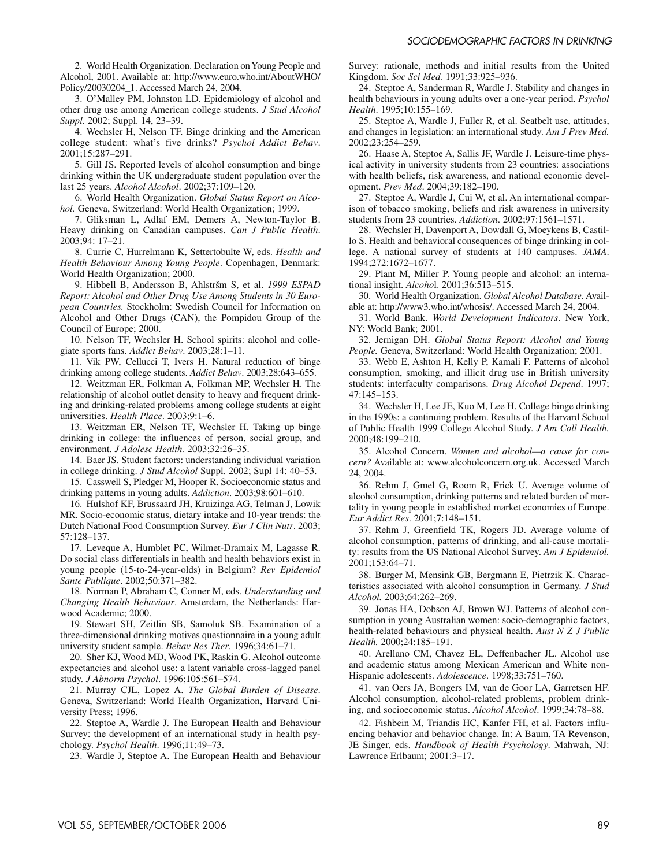2. World Health Organization. Declaration on Young People and Alcohol, 2001. Available at: http://www.euro.who.int/AboutWHO/ Policy/20030204\_1. Accessed March 24, 2004.

3. O'Malley PM, Johnston LD. Epidemiology of alcohol and other drug use among American college students. *J Stud Alcohol Suppl.* 2002; Suppl. 14, 23–39.

4. Wechsler H, Nelson TF. Binge drinking and the American college student: what's five drinks? *Psychol Addict Behav*. 2001;15:287–291.

5. Gill JS. Reported levels of alcohol consumption and binge drinking within the UK undergraduate student population over the last 25 years. *Alcohol Alcohol*. 2002;37:109–120.

6. World Health Organization. *Global Status Report on Alcohol.* Geneva, Switzerland: World Health Organization; 1999.

7. Gliksman L, Adlaf EM, Demers A, Newton-Taylor B. Heavy drinking on Canadian campuses. *Can J Public Health*. 2003;94: 17–21.

8. Currie C, Hurrelmann K, Settertobulte W, eds. *Health and Health Behaviour Among Young People*. Copenhagen, Denmark: World Health Organization; 2000.

9. Hibbell B, Andersson B, Ahlstršm S, et al. *1999 ESPAD Report: Alcohol and Other Drug Use Among Students in 30 European Countries.* Stockholm: Swedish Council for Information on Alcohol and Other Drugs (CAN), the Pompidou Group of the Council of Europe; 2000.

10. Nelson TF, Wechsler H. School spirits: alcohol and collegiate sports fans. *Addict Behav*. 2003;28:1–11.

11. Vik PW, Cellucci T, Ivers H. Natural reduction of binge drinking among college students. *Addict Behav*. 2003;28:643–655.

12. Weitzman ER, Folkman A, Folkman MP, Wechsler H. The relationship of alcohol outlet density to heavy and frequent drinking and drinking-related problems among college students at eight universities. *Health Place*. 2003;9:1–6.

13. Weitzman ER, Nelson TF, Wechsler H. Taking up binge drinking in college: the influences of person, social group, and environment. *J Adolesc Health.* 2003;32:26–35.

14. Baer JS. Student factors: understanding individual variation in college drinking. *J Stud Alcohol* Suppl. 2002; Supl 14: 40–53.

15. Casswell S, Pledger M, Hooper R. Socioeconomic status and drinking patterns in young adults. *Addiction*. 2003;98:601–610.

16. Hulshof KF, Brussaard JH, Kruizinga AG, Telman J, Lowik MR. Socio-economic status, dietary intake and 10-year trends: the Dutch National Food Consumption Survey. *Eur J Clin Nutr*. 2003; 57:128–137.

17. Leveque A, Humblet PC, Wilmet-Dramaix M, Lagasse R. Do social class differentials in health and health behaviors exist in young people (15-to-24-year-olds) in Belgium? *Rev Epidemiol Sante Publique*. 2002;50:371–382.

18. Norman P, Abraham C, Conner M, eds. *Understanding and Changing Health Behaviour*. Amsterdam, the Netherlands: Harwood Academic; 2000.

19. Stewart SH, Zeitlin SB, Samoluk SB. Examination of a three-dimensional drinking motives questionnaire in a young adult university student sample. *Behav Res Ther*. 1996;34:61–71.

20. Sher KJ, Wood MD, Wood PK, Raskin G. Alcohol outcome expectancies and alcohol use: a latent variable cross-lagged panel study. *J Abnorm Psychol*. 1996;105:561–574.

21. Murray CJL, Lopez A. *The Global Burden of Disease*. Geneva, Switzerland: World Health Organization, Harvard University Press; 1996.

22. Steptoe A, Wardle J. The European Health and Behaviour Survey: the development of an international study in health psychology. *Psychol Health*. 1996;11:49–73.

23. Wardle J, Steptoe A. The European Health and Behaviour

Survey: rationale, methods and initial results from the United Kingdom. *Soc Sci Med.* 1991;33:925–936.

24. Steptoe A, Sanderman R, Wardle J. Stability and changes in health behaviours in young adults over a one-year period. *Psychol Health*. 1995;10:155–169.

25. Steptoe A, Wardle J, Fuller R, et al. Seatbelt use, attitudes, and changes in legislation: an international study. *Am J Prev Med.* 2002;23:254–259.

26. Haase A, Steptoe A, Sallis JF, Wardle J. Leisure-time physical activity in university students from 23 countries: associations with health beliefs, risk awareness, and national economic development. *Prev Med*. 2004;39:182–190.

27. Steptoe A, Wardle J, Cui W, et al. An international comparison of tobacco smoking, beliefs and risk awareness in university students from 23 countries. *Addiction*. 2002;97:1561–1571.

28. Wechsler H, Davenport A, Dowdall G, Moeykens B, Castillo S. Health and behavioral consequences of binge drinking in college. A national survey of students at 140 campuses. *JAMA*. 1994;272:1672–1677.

29. Plant M, Miller P. Young people and alcohol: an international insight. *Alcoho*l. 2001;36:513–515.

30. World Health Organization. *Global Alcohol Database*. Available at: http://www3.who.int/whosis/. Accessed March 24, 2004.

31. World Bank. *World Development Indicators*. New York, NY: World Bank; 2001.

32. Jernigan DH. *Global Status Report: Alcohol and Young People.* Geneva, Switzerland: World Health Organization; 2001.

33. Webb E, Ashton H, Kelly P, Kamali F. Patterns of alcohol consumption, smoking, and illicit drug use in British university students: interfaculty comparisons. *Drug Alcohol Depend*. 1997; 47:145–153.

34. Wechsler H, Lee JE, Kuo M, Lee H. College binge drinking in the 1990s: a continuing problem. Results of the Harvard School of Public Health 1999 College Alcohol Study. *J Am Coll Health.* 2000;48:199–210.

35. Alcohol Concern. *Women and alcohol—a cause for concern?* Available at: www.alcoholconcern.org.uk. Accessed March 24, 2004.

36. Rehm J, Gmel G, Room R, Frick U. Average volume of alcohol consumption, drinking patterns and related burden of mortality in young people in established market economies of Europe. *Eur Addict Res*. 2001;7:148–151.

37. Rehm J, Greenfield TK, Rogers JD. Average volume of alcohol consumption, patterns of drinking, and all-cause mortality: results from the US National Alcohol Survey. *Am J Epidemiol.* 2001;153:64–71.

38. Burger M, Mensink GB, Bergmann E, Pietrzik K. Characteristics associated with alcohol consumption in Germany. *J Stud Alcohol.* 2003;64:262–269.

39. Jonas HA, Dobson AJ, Brown WJ. Patterns of alcohol consumption in young Australian women: socio-demographic factors, health-related behaviours and physical health. *Aust N Z J Public Health.* 2000;24:185–191.

40. Arellano CM, Chavez EL, Deffenbacher JL. Alcohol use and academic status among Mexican American and White non-Hispanic adolescents. *Adolescence*. 1998;33:751–760.

41. van Oers JA, Bongers IM, van de Goor LA, Garretsen HF. Alcohol consumption, alcohol-related problems, problem drinking, and socioeconomic status. *Alcohol Alcohol*. 1999;34:78–88.

42. Fishbein M, Triandis HC, Kanfer FH, et al. Factors influencing behavior and behavior change. In: A Baum, TA Revenson, JE Singer, eds. *Handbook of Health Psychology*. Mahwah, NJ: Lawrence Erlbaum; 2001:3–17.